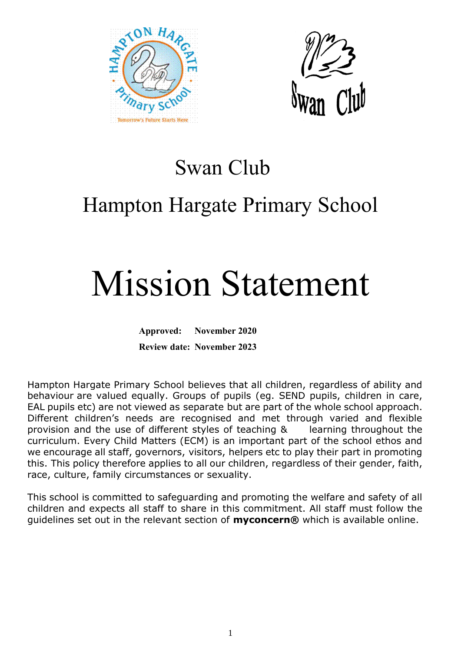



### Swan Club

## Hampton Hargate Primary School

# Mission Statement

**Approved: November 2020 Review date: November 2023**

Hampton Hargate Primary School believes that all children, regardless of ability and behaviour are valued equally. Groups of pupils (eg. SEND pupils, children in care, EAL pupils etc) are not viewed as separate but are part of the whole school approach. Different children's needs are recognised and met through varied and flexible provision and the use of different styles of teaching & learning throughout the curriculum. Every Child Matters (ECM) is an important part of the school ethos and we encourage all staff, governors, visitors, helpers etc to play their part in promoting this. This policy therefore applies to all our children, regardless of their gender, faith, race, culture, family circumstances or sexuality.

This school is committed to safeguarding and promoting the welfare and safety of all children and expects all staff to share in this commitment. All staff must follow the guidelines set out in the relevant section of **myconcern®** which is available online.